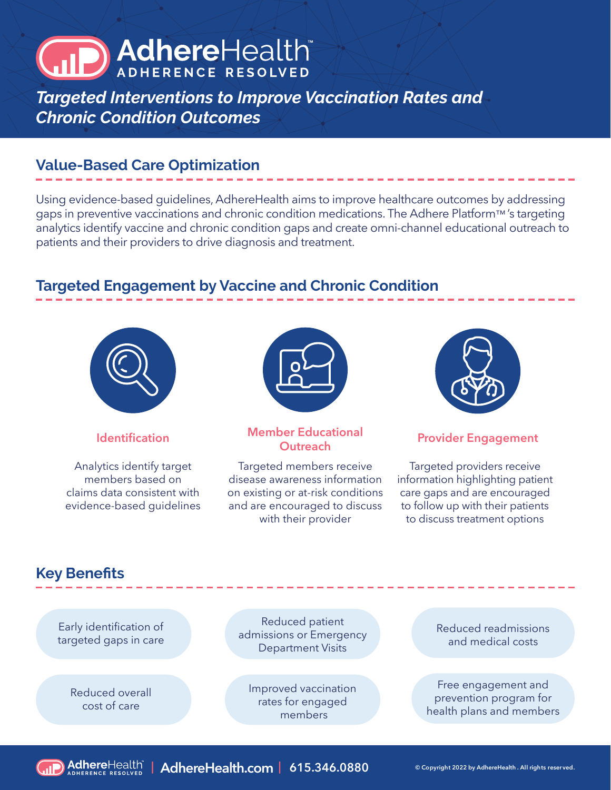# AdhereHealth

*Targeted Interventions to Improve Vaccination Rates and Chronic Condition Outcomes*

#### **Value-Based Care Optimization**

Using evidence-based guidelines, AdhereHealth aims to improve healthcare outcomes by addressing gaps in preventive vaccinations and chronic condition medications. The Adhere Platform™ 's targeting analytics identify vaccine and chronic condition gaps and create omni-channel educational outreach to patients and their providers to drive diagnosis and treatment.

### **Targeted Engagement by Vaccine and Chronic Condition**



Analytics identify target members based on claims data consistent with evidence-based guidelines



## **Identification Member Educational**

Targeted members receive disease awareness information on existing or at-risk conditions and are encouraged to discuss with their provider



#### **Provider Engagement**

Targeted providers receive information highlighting patient care gaps and are encouraged to follow up with their patients to discuss treatment options

#### **Key Benefits**

Early identification of targeted gaps in care

> Reduced overall cost of care

Reduced patient admissions or Emergency Department Visits

Improved vaccination rates for engaged members

Reduced readmissions and medical costs

Free engagement and prevention program for health plans and members



**| AdhereHealth.com | 615.346.0880 © Copyright 2022 by AdhereHealth . All rights reser ved.**